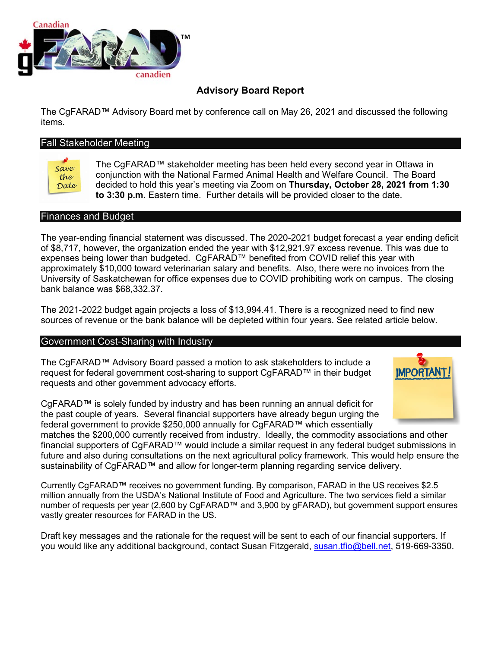

# **Advisory Board Report**

The CgFARAD™ Advisory Board met by conference call on May 26, 2021 and discussed the following items.

# Fall Stakeholder Meeting

Save the Date

The CgFARAD™ stakeholder meeting has been held every second year in Ottawa in conjunction with the National Farmed Animal Health and Welfare Council. The Board decided to hold this year's meeting via Zoom on **Thursday, October 28, 2021 from 1:30 to 3:30 p.m.** Eastern time. Further details will be provided closer to the date.

#### Finances and Budget

The year-ending financial statement was discussed. The 2020-2021 budget forecast a year ending deficit of \$8,717, however, the organization ended the year with \$12,921.97 excess revenue. This was due to expenses being lower than budgeted. CgFARAD™ benefited from COVID relief this year with approximately \$10,000 toward veterinarian salary and benefits. Also, there were no invoices from the University of Saskatchewan for office expenses due to COVID prohibiting work on campus. The closing bank balance was \$68,332.37.

The 2021-2022 budget again projects a loss of \$13,994.41. There is a recognized need to find new sources of revenue or the bank balance will be depleted within four years. See related article below.

#### Government Cost-Sharing with Industry

The CgFARAD™ Advisory Board passed a motion to ask stakeholders to include a request for federal government cost-sharing to support CgFARAD™ in their budget requests and other government advocacy efforts.

CgFARAD™ is solely funded by industry and has been running an annual deficit for the past couple of years. Several financial supporters have already begun urging the federal government to provide \$250,000 annually for CgFARAD™ which essentially

matches the \$200,000 currently received from industry. Ideally, the commodity associations and other financial supporters of CgFARAD™ would include a similar request in any federal budget submissions in future and also during consultations on the next agricultural policy framework. This would help ensure the sustainability of CgFARAD™ and allow for longer-term planning regarding service delivery.

Currently CgFARAD™ receives no government funding. By comparison, FARAD in the US receives \$2.5 million annually from the USDA's National Institute of Food and Agriculture. The two services field a similar number of requests per year (2,600 by CgFARAD™ and 3,900 by gFARAD), but government support ensures vastly greater resources for FARAD in the US.

Draft key messages and the rationale for the request will be sent to each of our financial supporters. If you would like any additional background, contact Susan Fitzgerald, [susan.tfio@bell.net,](mailto:susan.tfio@bell.net) 519-669-3350.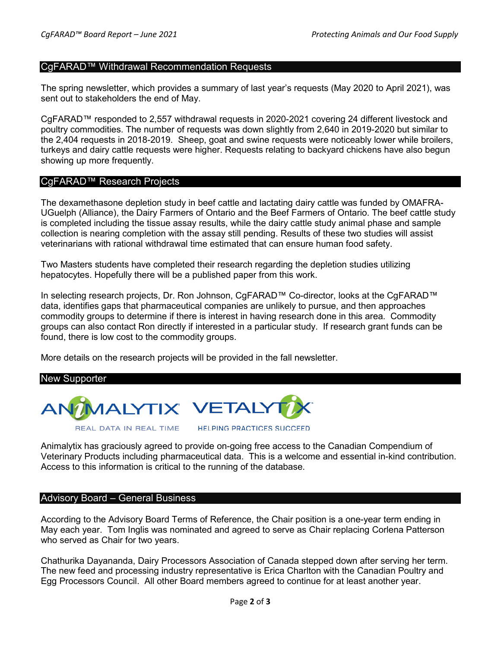# CgFARAD™ Withdrawal Recommendation Requests

The spring newsletter, which provides a summary of last year's requests (May 2020 to April 2021), was sent out to stakeholders the end of May.

CgFARAD™ responded to 2,557 withdrawal requests in 2020-2021 covering 24 different livestock and poultry commodities. The number of requests was down slightly from 2,640 in 2019-2020 but similar to the 2,404 requests in 2018-2019. Sheep, goat and swine requests were noticeably lower while broilers, turkeys and dairy cattle requests were higher. Requests relating to backyard chickens have also begun showing up more frequently.

## CgFARAD™ Research Projects

The dexamethasone depletion study in beef cattle and lactating dairy cattle was funded by OMAFRA-UGuelph (Alliance), the Dairy Farmers of Ontario and the Beef Farmers of Ontario. The beef cattle study is completed including the tissue assay results, while the dairy cattle study animal phase and sample collection is nearing completion with the assay still pending. Results of these two studies will assist veterinarians with rational withdrawal time estimated that can ensure human food safety.

Two Masters students have completed their research regarding the depletion studies utilizing hepatocytes. Hopefully there will be a published paper from this work.

In selecting research projects, Dr. Ron Johnson, CgFARAD™ Co-director, looks at the CgFARAD™ data, identifies gaps that pharmaceutical companies are unlikely to pursue, and then approaches commodity groups to determine if there is interest in having research done in this area. Commodity groups can also contact Ron directly if interested in a particular study. If research grant funds can be found, there is low cost to the commodity groups.

More details on the research projects will be provided in the fall newsletter.



Animalytix has graciously agreed to provide on-going free access to the Canadian Compendium of Veterinary Products including pharmaceutical data. This is a welcome and essential in-kind contribution. Access to this information is critical to the running of the database.

## Advisory Board – General Business

According to the Advisory Board Terms of Reference, the Chair position is a one-year term ending in May each year. Tom Inglis was nominated and agreed to serve as Chair replacing Corlena Patterson who served as Chair for two years.

Chathurika Dayananda, Dairy Processors Association of Canada stepped down after serving her term. The new feed and processing industry representative is Erica Charlton with the Canadian Poultry and Egg Processors Council. All other Board members agreed to continue for at least another year.